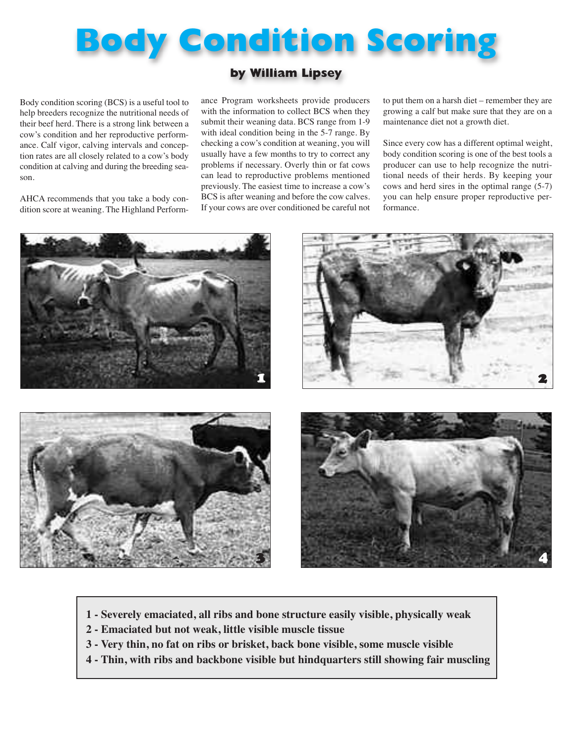## **Body Condition Scoring**

## **by William Lipsey**

Body condition scoring (BCS) is a useful tool to help breeders recognize the nutritional needs of their beef herd. There is a strong link between a cow's condition and her reproductive performance. Calf vigor, calving intervals and conception rates are all closely related to a cow's body condition at calving and during the breeding season.

AHCA recommends that you take a body condition score at weaning. The Highland Performance Program worksheets provide producers with the information to collect BCS when they submit their weaning data. BCS range from 1-9 with ideal condition being in the 5-7 range. By checking a cow's condition at weaning, you will usually have a few months to try to correct any problems if necessary. Overly thin or fat cows can lead to reproductive problems mentioned previously. The easiest time to increase a cow's BCS is after weaning and before the cow calves. If your cows are over conditioned be careful not to put them on a harsh diet – remember they are growing a calf but make sure that they are on a maintenance diet not a growth diet.

Since every cow has a different optimal weight, body condition scoring is one of the best tools a producer can use to help recognize the nutritional needs of their herds. By keeping your cows and herd sires in the optimal range (5-7) you can help ensure proper reproductive performance.



- **1 - Severely emaciated, all ribs and bone structure easily visible, physically weak**
- **2 - Emaciated but not weak, little visible muscle tissue**
- **3 - Very thin, no fat on ribs or brisket, back bone visible, some muscle visible**
- **4 - Thin, with ribs and backbone visible but hindquarters still showing fair muscling**